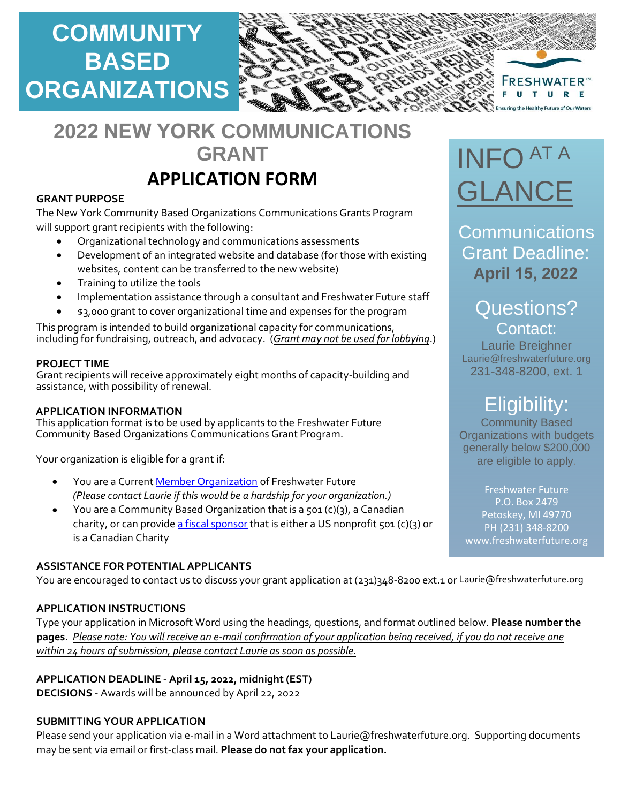

# **2022 NEW YORK COMMUNICATIONS GRANT**

## **APPLICATION FORM**

### **GRANT PURPOSE**

The New York Community Based Organizations Communications Grants Program will support grant recipients with the following:

- Organizational technology and communications assessments
- Development of an integrated website and database (for those with existing websites, content can be transferred to the new website)
- Training to utilize the tools
- Implementation assistance through a consultant and Freshwater Future staff
- \$3,000 grant to cover organizational time and expenses for the program

This program is intended to build organizational capacity for communications, including for fundraising, outreach, and advocacy. (*Grant may not be used for lobbying*.)

### **PROJECT TIME**

Grant recipients will receive approximately eight months of capacity-building and assistance, with possibility of renewal.

### **APPLICATION INFORMATION**

This application format is to be used by applicants to the Freshwater Future Community Based Organizations Communications Grant Program.

Your organization is eligible for a grant if:

- You are a Current [Member Organization](about:blank) of Freshwater Future *(Please contact Laurie if this would be a hardship for your organization.)*
- You are a Community Based Organization that is a 501 (c)(3), a Canadian charity, or can provide [a fiscal sponsor](about:blank) that is either a US nonprofit 501 (c)(3) or is a Canadian Charity

### **ASSISTANCE FOR POTENTIAL APPLICANTS**

You are encouraged to contact us to discuss your grant application at (231)348-8200 ext.1 or Laurie@freshwaterfuture.org

### **APPLICATION INSTRUCTIONS**

Type your application in Microsoft Word using the headings, questions, and format outlined below. **Please number the pages.** *Please note: You will receive an e-mail confirmation of your application being received, if you do not receive one within 24 hours of submission, please contact Laurie as soon as possible.*

### **APPLICATION DEADLINE** - **April 15, 2022, midnight (EST)**

**DECISIONS** - Awards will be announced by April 22, 2022

### **SUBMITTING YOUR APPLICATION**

Please send your application via e-mail in a Word attachment to Laurie@freshwaterfuture.org. Supporting documents may be sent via email or first-class mail. **Please do not fax your application.** 

# INFO AT A GLANCE

**Communications** Grant Deadline: **April 15, 2022**

### Questions? Contact:

Laurie Breighner Laurie@freshwaterfuture.org 231-348-8200, ext. 1

## Eligibility:

Community Based Organizations with budgets generally below \$200,000 are eligible to apply.

Freshwater Future P.O. Box 2479 Petoskey, MI 49770 PH (231) 348-8200 www.freshwaterfuture.org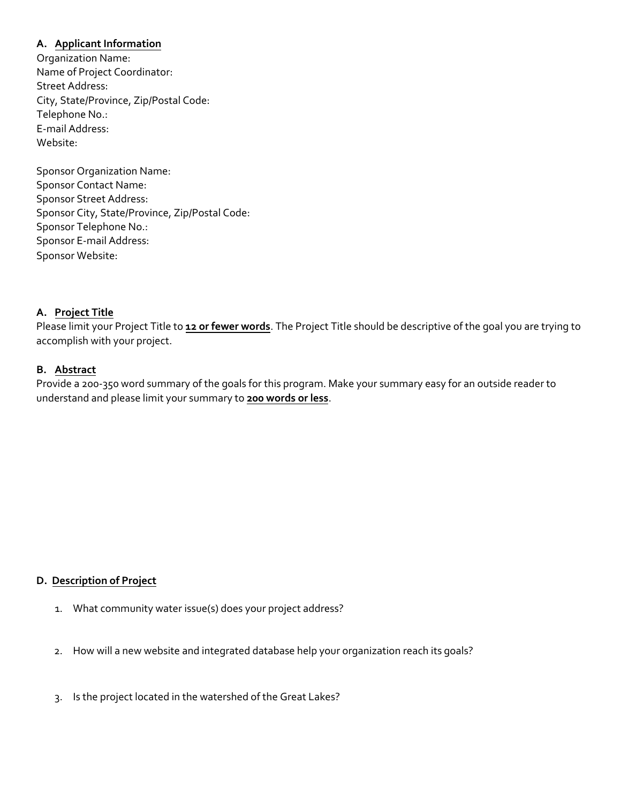### **A. Applicant Information**

Organization Name: Name of Project Coordinator: Street Address: City, State/Province, Zip/Postal Code: Telephone No.: E-mail Address: Website:

Sponsor Organization Name: Sponsor Contact Name: Sponsor Street Address: Sponsor City, State/Province, Zip/Postal Code: Sponsor Telephone No.: Sponsor E-mail Address: Sponsor Website:

### **A. Project Title**

Please limit your Project Title to **12 or fewer words**. The Project Title should be descriptive of the goal you are trying to accomplish with your project.

### **B. Abstract**

Provide a 200-350 word summary of the goals for this program. Make your summary easy for an outside reader to understand and please limit your summary to **200 words or less**.

### **D. Description of Project**

- 1. What community water issue(s) does your project address?
- 2. How will a new website and integrated database help your organization reach its goals?
- 3. Is the project located in the watershed of the Great Lakes?